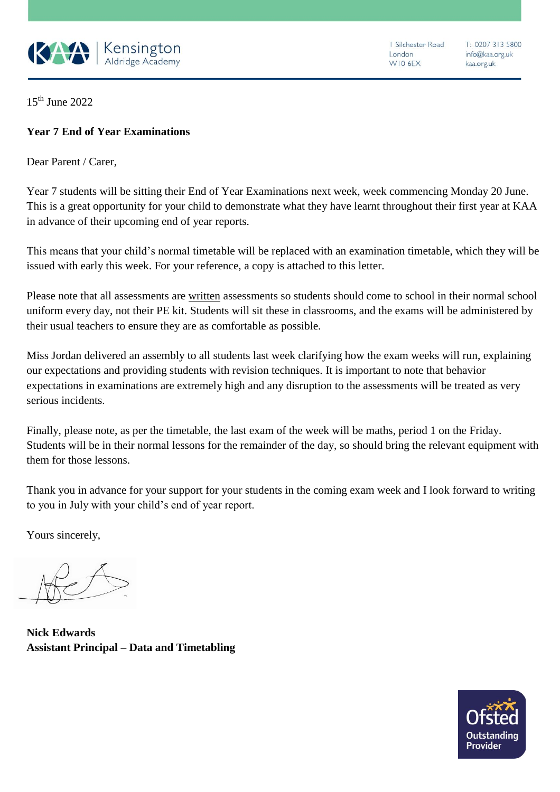

1 Silchester Road london WIO 6EX

T: 0207 313 5800 info@kaa.org.uk kaa.org.uk

15th June 2022

## **Year 7 End of Year Examinations**

Dear Parent / Carer,

Year 7 students will be sitting their End of Year Examinations next week, week commencing Monday 20 June. This is a great opportunity for your child to demonstrate what they have learnt throughout their first year at KAA in advance of their upcoming end of year reports.

This means that your child's normal timetable will be replaced with an examination timetable, which they will be issued with early this week. For your reference, a copy is attached to this letter.

Please note that all assessments are written assessments so students should come to school in their normal school uniform every day, not their PE kit. Students will sit these in classrooms, and the exams will be administered by their usual teachers to ensure they are as comfortable as possible.

Miss Jordan delivered an assembly to all students last week clarifying how the exam weeks will run, explaining our expectations and providing students with revision techniques. It is important to note that behavior expectations in examinations are extremely high and any disruption to the assessments will be treated as very serious incidents.

Finally, please note, as per the timetable, the last exam of the week will be maths, period 1 on the Friday. Students will be in their normal lessons for the remainder of the day, so should bring the relevant equipment with them for those lessons.

Thank you in advance for your support for your students in the coming exam week and I look forward to writing to you in July with your child's end of year report.

Yours sincerely,

**Nick Edwards Assistant Principal – Data and Timetabling**